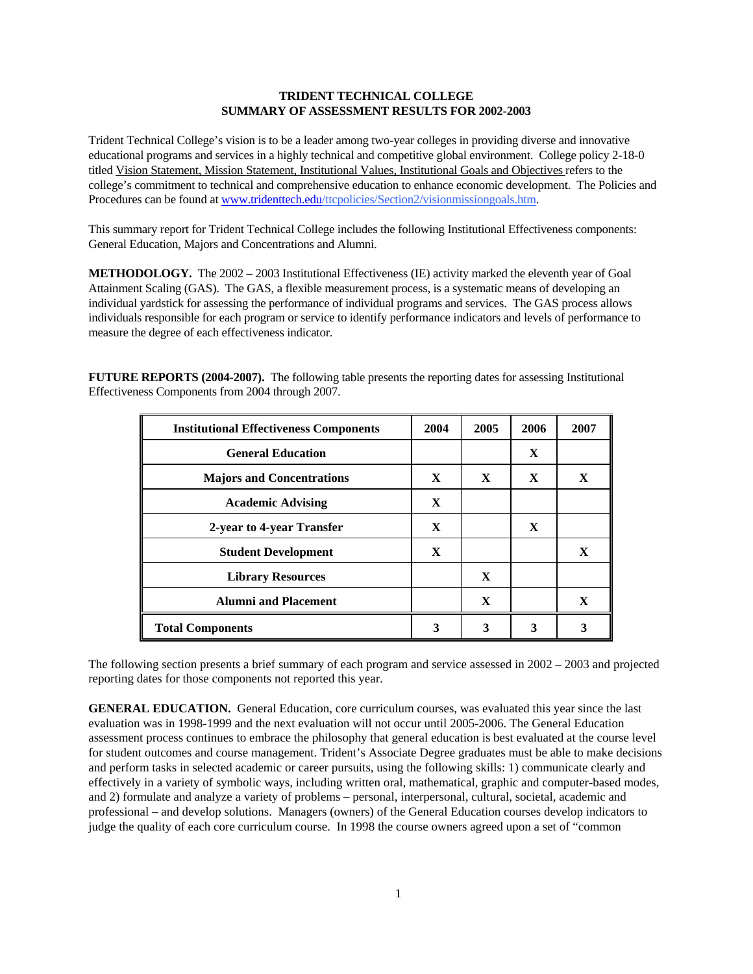## **TRIDENT TECHNICAL COLLEGE SUMMARY OF ASSESSMENT RESULTS FOR 2002-2003**

Trident Technical College's vision is to be a leader among two-year colleges in providing diverse and innovative educational programs and services in a highly technical and competitive global environment. College policy 2-18-0 titled Vision Statement, Mission Statement, Institutional Values, Institutional Goals and Objectives refers to the college's commitment to technical and comprehensive education to enhance economic development. The Policies and Procedures can be found at [www.tridenttech.edu](http://www.tridenttech.edu/)/ttcpolicies/Section2/visionmissiongoals.htm.

This summary report for Trident Technical College includes the following Institutional Effectiveness components: General Education, Majors and Concentrations and Alumni.

**METHODOLOGY.** The 2002 – 2003 Institutional Effectiveness (IE) activity marked the eleventh year of Goal Attainment Scaling (GAS). The GAS, a flexible measurement process, is a systematic means of developing an individual yardstick for assessing the performance of individual programs and services. The GAS process allows individuals responsible for each program or service to identify performance indicators and levels of performance to measure the degree of each effectiveness indicator.

**FUTURE REPORTS (2004-2007).** The following table presents the reporting dates for assessing Institutional Effectiveness Components from 2004 through 2007.

| <b>Institutional Effectiveness Components</b> | 2004         | 2005 | 2006 | 2007 |
|-----------------------------------------------|--------------|------|------|------|
| <b>General Education</b>                      |              |      | X    |      |
| <b>Majors and Concentrations</b>              | X            | X    | X    | X    |
| <b>Academic Advising</b>                      | $\mathbf{X}$ |      |      |      |
| 2-year to 4-year Transfer                     | $\mathbf X$  |      | X    |      |
| <b>Student Development</b>                    | X            |      |      | X    |
| <b>Library Resources</b>                      |              | X    |      |      |
| <b>Alumni</b> and <b>Placement</b>            |              | X    |      | X    |
| <b>Total Components</b>                       | 3            | 3    | 3    | 3    |

The following section presents a brief summary of each program and service assessed in 2002 – 2003 and projected reporting dates for those components not reported this year.

**GENERAL EDUCATION.** General Education, core curriculum courses, was evaluated this year since the last evaluation was in 1998-1999 and the next evaluation will not occur until 2005-2006. The General Education assessment process continues to embrace the philosophy that general education is best evaluated at the course level for student outcomes and course management. Trident's Associate Degree graduates must be able to make decisions and perform tasks in selected academic or career pursuits, using the following skills: 1) communicate clearly and effectively in a variety of symbolic ways, including written oral, mathematical, graphic and computer-based modes, and 2) formulate and analyze a variety of problems – personal, interpersonal, cultural, societal, academic and professional – and develop solutions. Managers (owners) of the General Education courses develop indicators to judge the quality of each core curriculum course. In 1998 the course owners agreed upon a set of "common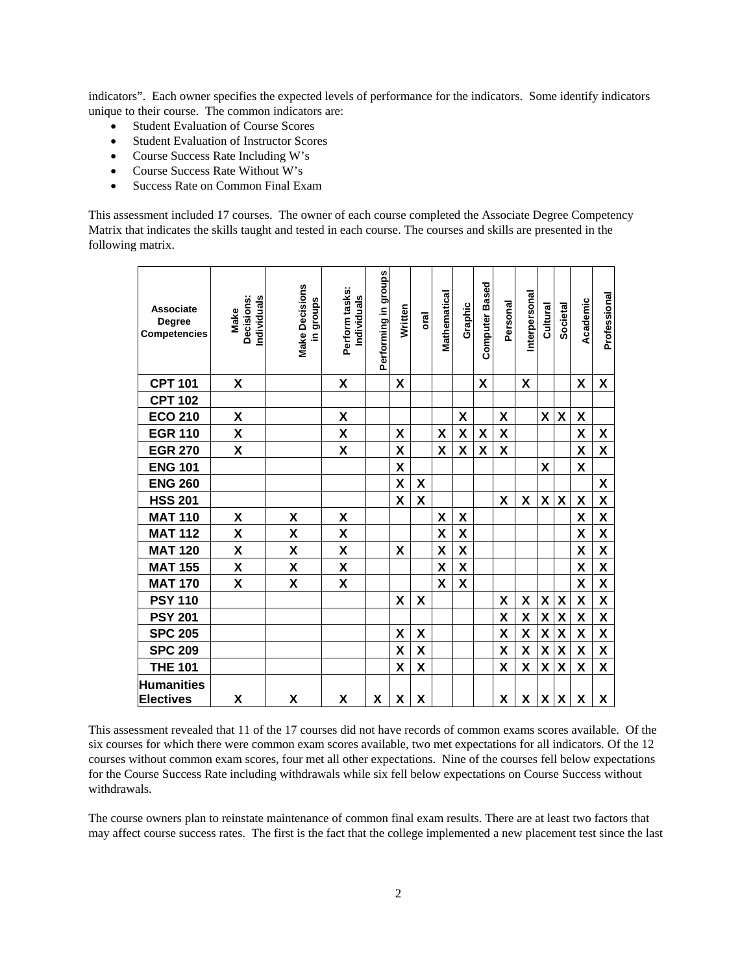indicators". Each owner specifies the expected levels of performance for the indicators. Some identify indicators unique to their course. The common indicators are:

- Student Evaluation of Course Scores
- Student Evaluation of Instructor Scores
- Course Success Rate Including W's
- Course Success Rate Without W's
- Success Rate on Common Final Exam

This assessment included 17 courses. The owner of each course completed the Associate Degree Competency Matrix that indicates the skills taught and tested in each course. The courses and skills are presented in the following matrix.

| <b>Associate</b><br><b>Degree</b><br><b>Competencies</b> | Decisions:<br>Individuals<br>Make | <b>Make Decisions</b><br>in groups | Perform tasks:<br>Individuals | Performing in groups | Written | oral                      | Mathematical              | Graphic                   | <b>Computer Based</b> | Personal           | Interpersonal      | Cultural           | <b>Societal</b>           | Academic           | Professional              |
|----------------------------------------------------------|-----------------------------------|------------------------------------|-------------------------------|----------------------|---------|---------------------------|---------------------------|---------------------------|-----------------------|--------------------|--------------------|--------------------|---------------------------|--------------------|---------------------------|
| <b>CPT 101</b>                                           | X                                 |                                    | χ                             |                      | X       |                           |                           |                           | χ                     |                    | X                  |                    |                           | X                  | X                         |
| <b>CPT 102</b>                                           |                                   |                                    |                               |                      |         |                           |                           |                           |                       |                    |                    |                    |                           |                    |                           |
| <b>ECO 210</b>                                           | χ                                 |                                    | χ                             |                      |         |                           |                           | X                         |                       | X                  |                    | $\pmb{\mathsf{X}}$ | $\pmb{\mathsf{X}}$        | X                  |                           |
| <b>EGR 110</b>                                           | X                                 |                                    | $\pmb{\mathsf{X}}$            |                      | X       |                           | X                         | X                         | χ                     | X                  |                    |                    |                           | X                  | X                         |
| <b>EGR 270</b>                                           | $\mathsf{X}$                      |                                    | $\pmb{\mathsf{X}}$            |                      | X       |                           | X                         | X                         | X                     | $\pmb{\mathsf{X}}$ |                    |                    |                           | $\pmb{\mathsf{X}}$ | $\boldsymbol{\mathsf{X}}$ |
| <b>ENG 101</b>                                           |                                   |                                    |                               |                      | X       |                           |                           |                           |                       |                    |                    | $\pmb{\mathsf{X}}$ |                           | X                  |                           |
| <b>ENG 260</b>                                           |                                   |                                    |                               |                      | X       | $\boldsymbol{\mathsf{X}}$ |                           |                           |                       |                    |                    |                    |                           |                    | $\boldsymbol{\mathsf{X}}$ |
| <b>HSS 201</b>                                           |                                   |                                    |                               |                      | X       | X                         |                           |                           |                       | X                  | X                  | $\pmb{\mathsf{X}}$ | X                         | X                  | $\pmb{\mathsf{X}}$        |
| <b>MAT 110</b>                                           | χ                                 | X                                  | X                             |                      |         |                           | χ                         | X                         |                       |                    |                    |                    |                           | X                  | $\pmb{\mathsf{X}}$        |
| <b>MAT 112</b>                                           | χ                                 | X                                  | X                             |                      |         |                           | X                         | X                         |                       |                    |                    |                    |                           | X                  | $\pmb{\mathsf{X}}$        |
| <b>MAT 120</b>                                           | X                                 | X                                  | X                             |                      | X       |                           | X                         | X                         |                       |                    |                    |                    |                           | $\pmb{\mathsf{X}}$ | $\pmb{\mathsf{X}}$        |
| <b>MAT 155</b>                                           | X                                 | X                                  | X                             |                      |         |                           | X                         | X                         |                       |                    |                    |                    |                           | X                  | $\mathsf{X}$              |
| <b>MAT 170</b>                                           | $\boldsymbol{\mathsf{X}}$         | X                                  | X                             |                      |         |                           | $\boldsymbol{\mathsf{X}}$ | $\boldsymbol{\mathsf{X}}$ |                       |                    |                    |                    |                           | $\pmb{\mathsf{X}}$ | $\pmb{\mathsf{X}}$        |
| <b>PSY 110</b>                                           |                                   |                                    |                               |                      | X       | X                         |                           |                           |                       | X                  | $\pmb{\mathsf{X}}$ | χ                  | $\pmb{\mathsf{X}}$        | $\pmb{\mathsf{X}}$ | $\pmb{\mathsf{X}}$        |
| <b>PSY 201</b>                                           |                                   |                                    |                               |                      |         |                           |                           |                           |                       | X                  | $\pmb{\mathsf{X}}$ | $\pmb{\mathsf{X}}$ | $\boldsymbol{\mathsf{X}}$ | $\pmb{\mathsf{X}}$ | $\pmb{\mathsf{X}}$        |
| <b>SPC 205</b>                                           |                                   |                                    |                               |                      | X       | X                         |                           |                           |                       | X                  | χ                  | X                  | X                         | $\pmb{\mathsf{X}}$ | $\pmb{\mathsf{X}}$        |
| <b>SPC 209</b>                                           |                                   |                                    |                               |                      | X       | $\boldsymbol{\mathsf{X}}$ |                           |                           |                       | χ                  | $\pmb{\mathsf{X}}$ | $\mathsf{X}$       | $\boldsymbol{\mathsf{X}}$ | X                  | $\mathsf{X}$              |
| <b>THE 101</b>                                           |                                   |                                    |                               |                      | X       | X                         |                           |                           |                       | X                  | $\pmb{\mathsf{X}}$ | $\pmb{\mathsf{X}}$ | $\boldsymbol{\mathsf{X}}$ | $\pmb{\mathsf{X}}$ | $\boldsymbol{\mathsf{X}}$ |
| <b>Humanities</b><br><b>Electives</b>                    | X                                 | X                                  | χ                             | X                    | X       | X                         |                           |                           |                       | X                  | X                  | X                  | $\boldsymbol{\mathsf{X}}$ | X                  | X                         |

This assessment revealed that 11 of the 17 courses did not have records of common exams scores available. Of the six courses for which there were common exam scores available, two met expectations for all indicators. Of the 12 courses without common exam scores, four met all other expectations. Nine of the courses fell below expectations for the Course Success Rate including withdrawals while six fell below expectations on Course Success without withdrawals.

The course owners plan to reinstate maintenance of common final exam results. There are at least two factors that may affect course success rates. The first is the fact that the college implemented a new placement test since the last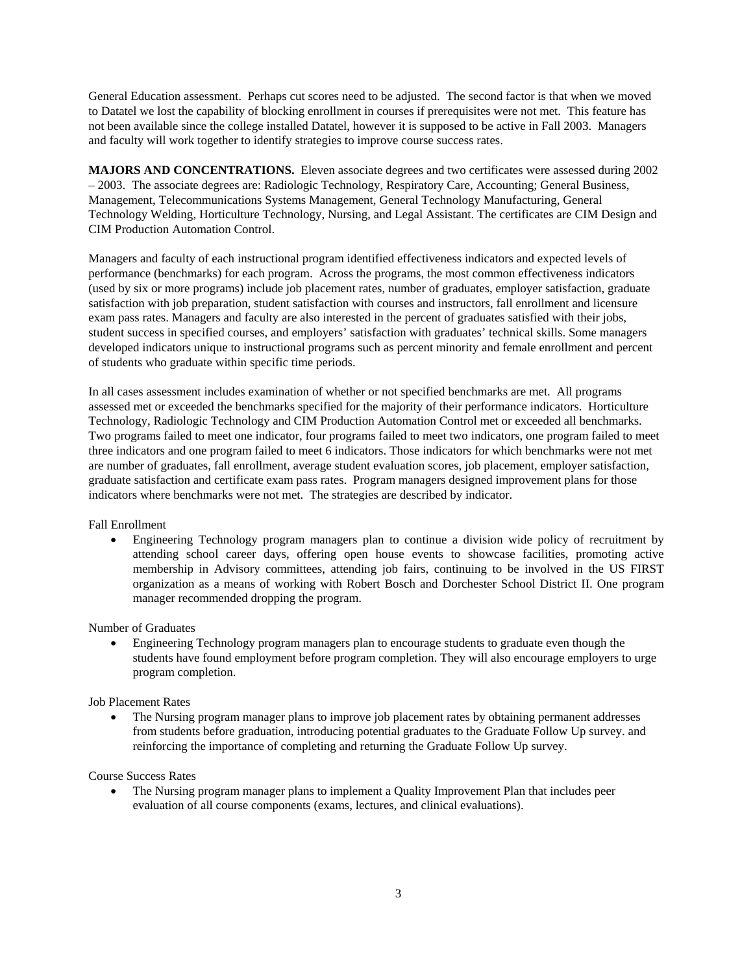General Education assessment. Perhaps cut scores need to be adjusted. The second factor is that when we moved to Datatel we lost the capability of blocking enrollment in courses if prerequisites were not met. This feature has not been available since the college installed Datatel, however it is supposed to be active in Fall 2003. Managers and faculty will work together to identify strategies to improve course success rates.

**MAJORS AND CONCENTRATIONS.** Eleven associate degrees and two certificates were assessed during 2002 – 2003. The associate degrees are: Radiologic Technology, Respiratory Care, Accounting; General Business, Management, Telecommunications Systems Management, General Technology Manufacturing, General Technology Welding, Horticulture Technology, Nursing, and Legal Assistant. The certificates are CIM Design and CIM Production Automation Control.

Managers and faculty of each instructional program identified effectiveness indicators and expected levels of performance (benchmarks) for each program. Across the programs, the most common effectiveness indicators (used by six or more programs) include job placement rates, number of graduates, employer satisfaction, graduate satisfaction with job preparation, student satisfaction with courses and instructors, fall enrollment and licensure exam pass rates. Managers and faculty are also interested in the percent of graduates satisfied with their jobs, student success in specified courses, and employers' satisfaction with graduates' technical skills. Some managers developed indicators unique to instructional programs such as percent minority and female enrollment and percent of students who graduate within specific time periods.

In all cases assessment includes examination of whether or not specified benchmarks are met. All programs assessed met or exceeded the benchmarks specified for the majority of their performance indicators. Horticulture Technology, Radiologic Technology and CIM Production Automation Control met or exceeded all benchmarks. Two programs failed to meet one indicator, four programs failed to meet two indicators, one program failed to meet three indicators and one program failed to meet 6 indicators. Those indicators for which benchmarks were not met are number of graduates, fall enrollment, average student evaluation scores, job placement, employer satisfaction, graduate satisfaction and certificate exam pass rates. Program managers designed improvement plans for those indicators where benchmarks were not met. The strategies are described by indicator.

Fall Enrollment

• Engineering Technology program managers plan to continue a division wide policy of recruitment by attending school career days, offering open house events to showcase facilities, promoting active membership in Advisory committees, attending job fairs, continuing to be involved in the US FIRST organization as a means of working with Robert Bosch and Dorchester School District II. One program manager recommended dropping the program.

Number of Graduates

• Engineering Technology program managers plan to encourage students to graduate even though the students have found employment before program completion. They will also encourage employers to urge program completion.

Job Placement Rates

• The Nursing program manager plans to improve job placement rates by obtaining permanent addresses from students before graduation, introducing potential graduates to the Graduate Follow Up survey. and reinforcing the importance of completing and returning the Graduate Follow Up survey.

Course Success Rates

• The Nursing program manager plans to implement a Quality Improvement Plan that includes peer evaluation of all course components (exams, lectures, and clinical evaluations).